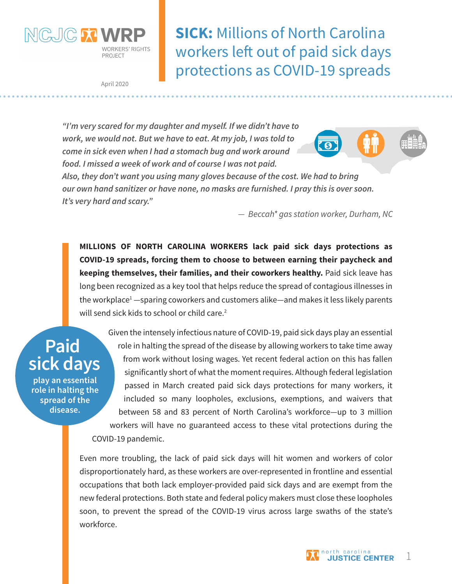

**SICK:** Millions of North Carolina workers left out of paid sick days protections as COVID-19 spreads

April 2020

*"I'm very scared for my daughter and myself. If we didn't have to work, we would not. But we have to eat. At my job, I was told to come in sick even when I had a stomach bug and work around food. I missed a week of work and of course I was not paid.* 



*Also, they don't want you using many gloves because of the cost. We had to bring our own hand sanitizer or have none, no masks are furnished. I pray this is over soon. It's very hard and scary."* 

*— Beccah\* gas station worker, Durham, NC*

**MILLIONS OF NORTH CAROLINA WORKERS lack paid sick days protections as COVID-19 spreads, forcing them to choose to between earning their paycheck and keeping themselves, their families, and their coworkers healthy.** Paid sick leave has long been recognized as a key tool that helps reduce the spread of contagious illnesses in the workplace<sup>1</sup> —sparing coworkers and customers alike—and makes it less likely parents will send sick kids to school or child care. $2$ 

**Paid sick days**

**play an essential role in halting the spread of the disease.**

Given the intensely infectious nature of COVID-19, paid sick days play an essential role in halting the spread of the disease by allowing workers to take time away from work without losing wages. Yet recent federal action on this has fallen significantly short of what the moment requires. Although federal legislation passed in March created paid sick days protections for many workers, it included so many loopholes, exclusions, exemptions, and waivers that between 58 and 83 percent of North Carolina's workforce—up to 3 million workers will have no guaranteed access to these vital protections during the COVID-19 pandemic.

Even more troubling, the lack of paid sick days will hit women and workers of color disproportionately hard, as these workers are over-represented in frontline and essential occupations that both lack employer-provided paid sick days and are exempt from the new federal protections. Both state and federal policy makers must close these loopholes soon, to prevent the spread of the COVID-19 virus across large swaths of the state's workforce.

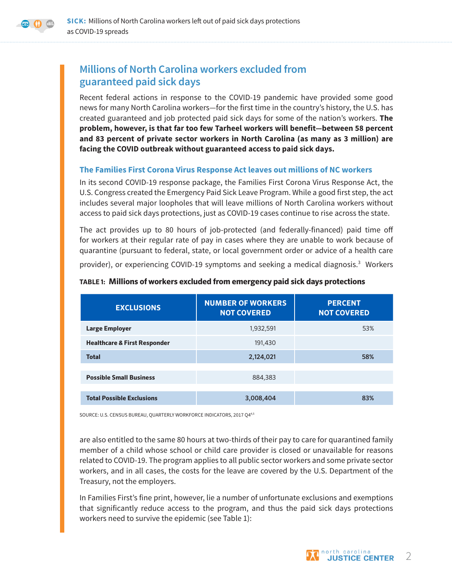

# **Millions of North Carolina workers excluded from guaranteed paid sick days**

Recent federal actions in response to the COVID-19 pandemic have provided some good news for many North Carolina workers—for the first time in the country's history, the U.S. has created guaranteed and job protected paid sick days for some of the nation's workers. **The problem, however, is that far too few Tarheel workers will benefit—between 58 percent and 83 percent of private sector workers in North Carolina (as many as 3 million) are facing the COVID outbreak without guaranteed access to paid sick days.**

### **The Families First Corona Virus Response Act leaves out millions of NC workers**

In its second COVID-19 response package, the Families First Corona Virus Response Act, the U.S. Congress created the Emergency Paid Sick Leave Program. While a good first step, the act includes several major loopholes that will leave millions of North Carolina workers without access to paid sick days protections, just as COVID-19 cases continue to rise across the state.

The act provides up to 80 hours of job-protected (and federally-financed) paid time off for workers at their regular rate of pay in cases where they are unable to work because of quarantine (pursuant to federal, state, or local government order or advice of a health care

provider), or experiencing COVID-19 symptoms and seeking a medical diagnosis.<sup>3</sup> Workers

| <b>EXCLUSIONS</b>                       | <b>NUMBER OF WORKERS</b><br><b>NOT COVERED</b> | <b>PERCENT</b><br><b>NOT COVERED</b> |
|-----------------------------------------|------------------------------------------------|--------------------------------------|
| <b>Large Employer</b>                   | 1,932,591                                      | 53%                                  |
| <b>Healthcare &amp; First Responder</b> | 191,430                                        |                                      |
| <b>Total</b>                            | 2,124,021                                      | 58%                                  |
|                                         |                                                |                                      |
| <b>Possible Small Business</b>          | 884,383                                        |                                      |
|                                         |                                                |                                      |
| <b>Total Possible Exclusions</b>        | 3,008,404                                      | 83%                                  |

#### **TABLE 1: Millions of workers excluded from emergency paid sick days protections**

SOURCE: U.S. CENSUS BUREAU, QUARTERLY WORKFORCE INDICATORS, 2017 Q44,5

are also entitled to the same 80 hours at two-thirds of their pay to care for quarantined family member of a child whose school or child care provider is closed or unavailable for reasons related to COVID-19. The program applies to all public sector workers and some private sector workers, and in all cases, the costs for the leave are covered by the U.S. Department of the Treasury, not the employers.

In Families First's fine print, however, lie a number of unfortunate exclusions and exemptions that significantly reduce access to the program, and thus the paid sick days protections workers need to survive the epidemic (see Table 1):

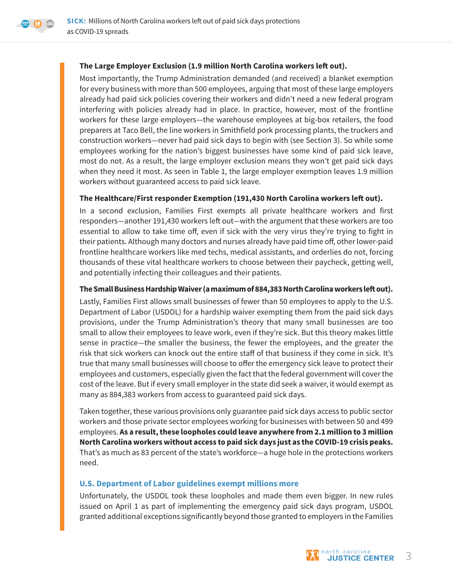### **The Large Employer Exclusion (1.9 million North Carolina workers left out).**

Most importantly, the Trump Administration demanded (and received) a blanket exemption for every business with more than 500 employees, arguing that most of these large employers already had paid sick policies covering their workers and didn't need a new federal program interfering with policies already had in place. In practice, however, most of the frontline workers for these large employers—the warehouse employees at big-box retailers, the food preparers at Taco Bell, the line workers in Smithfield pork processing plants, the truckers and construction workers—never had paid sick days to begin with (see Section 3). So while some employees working for the nation's biggest businesses have some kind of paid sick leave, most do not. As a result, the large employer exclusion means they won't get paid sick days when they need it most. As seen in Table 1, the large employer exemption leaves 1.9 million workers without guaranteed access to paid sick leave.

### **The Healthcare/First responder Exemption (191,430 North Carolina workers left out).**

In a second exclusion, Families First exempts all private healthcare workers and first responders—another 191,430 workers left out—with the argument that these workers are too essential to allow to take time off, even if sick with the very virus they're trying to fight in their patients. Although many doctors and nurses already have paid time off, other lower-paid frontline healthcare workers like med techs, medical assistants, and orderlies do not, forcing thousands of these vital healthcare workers to choose between their paycheck, getting well, and potentially infecting their colleagues and their patients.

### **The Small Business Hardship Waiver (a maximum of 884,383 North Carolina workers left out).**

Lastly, Families First allows small businesses of fewer than 50 employees to apply to the U.S. Department of Labor (USDOL) for a hardship waiver exempting them from the paid sick days provisions, under the Trump Administration's theory that many small businesses are too small to allow their employees to leave work, even if they're sick. But this theory makes little sense in practice—the smaller the business, the fewer the employees, and the greater the risk that sick workers can knock out the entire staff of that business if they come in sick. It's true that many small businesses will choose to offer the emergency sick leave to protect their employees and customers, especially given the fact that the federal government will cover the cost of the leave. But if every small employer in the state did seek a waiver, it would exempt as many as 884,383 workers from access to guaranteed paid sick days.

Taken together, these various provisions only guarantee paid sick days access to public sector workers and those private sector employees working for businesses with between 50 and 499 employees. **As a result, these loopholes could leave anywhere from 2.1 million to 3 million North Carolina workers without access to paid sick days just as the COVID-19 crisis peaks.** That's as much as 83 percent of the state's workforce—a huge hole in the protections workers need.

### **U.S. Department of Labor guidelines exempt millions more**

Unfortunately, the USDOL took these loopholes and made them even bigger. In new rules issued on April 1 as part of implementing the emergency paid sick days program, USDOL granted additional exceptions significantly beyond those granted to employers in the Families

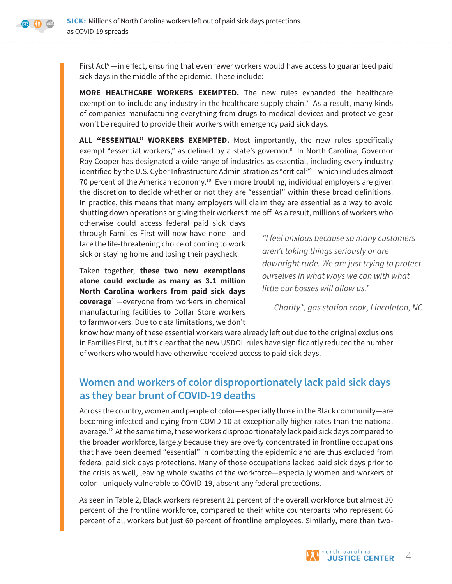

First Act $^{\circ}$  —in effect, ensuring that even fewer workers would have access to guaranteed paid sick days in the middle of the epidemic. These include:

**MORE HEALTHCARE WORKERS EXEMPTED.** The new rules expanded the healthcare exemption to include any industry in the healthcare supply chain.<sup>7</sup> As a result, many kinds of companies manufacturing everything from drugs to medical devices and protective gear won't be required to provide their workers with emergency paid sick days.

**ALL "ESSENTIAL" WORKERS EXEMPTED.** Most importantly, the new rules specifically exempt "essential workers," as defined by a state's governor.<sup>8</sup> In North Carolina, Governor Roy Cooper has designated a wide range of industries as essential, including every industry identified by the U.S. Cyber Infrastructure Administration as "critical"9 —which includes almost 70 percent of the American economy.<sup>10</sup> Even more troubling, individual employers are given the discretion to decide whether or not they are "essential" within these broad definitions. In practice, this means that many employers will claim they are essential as a way to avoid shutting down operations or giving their workers time off. As a result, millions of workers who

otherwise could access federal paid sick days through Families First will now have none—and face the life-threatening choice of coming to work sick or staying home and losing their paycheck.

Taken together, **these two new exemptions alone could exclude as many as 3.1 million North Carolina workers from paid sick days coverage**11—everyone from workers in chemical manufacturing facilities to Dollar Store workers to farmworkers. Due to data limitations, we don't

*"I feel anxious because so many customers aren't taking things seriously or are downright rude. We are just trying to protect ourselves in what ways we can with what little our bosses will allow us."*

*— Charity\*, gas station cook, Lincolnton, NC*

know how many of these essential workers were already left out due to the original exclusions in Families First, but it's clear that the new USDOL rules have significantly reduced the number of workers who would have otherwise received access to paid sick days.

# **Women and workers of color disproportionately lack paid sick days as they bear brunt of COVID-19 deaths**

Across the country, women and people of color—especially those in the Black community—are becoming infected and dying from COVID-10 at exceptionally higher rates than the national average.<sup>12</sup> At the same time, these workers disproportionately lack paid sick days compared to the broader workforce, largely because they are overly concentrated in frontline occupations that have been deemed "essential" in combatting the epidemic and are thus excluded from federal paid sick days protections. Many of those occupations lacked paid sick days prior to the crisis as well, leaving whole swaths of the workforce—especially women and workers of color—uniquely vulnerable to COVID-19, absent any federal protections.

As seen in Table 2, Black workers represent 21 percent of the overall workforce but almost 30 percent of the frontline workforce, compared to their white counterparts who represent 66 percent of all workers but just 60 percent of frontline employees. Similarly, more than two-

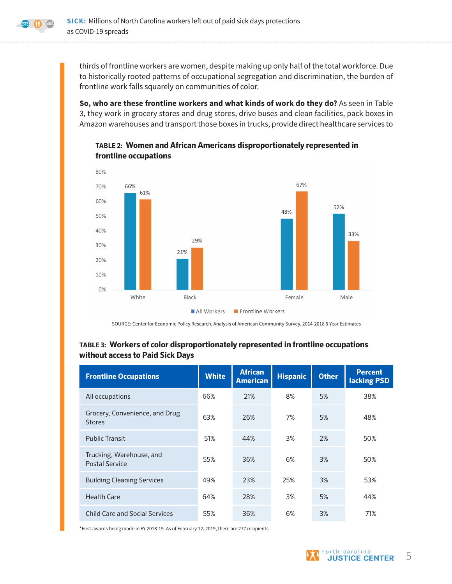

thirds of frontline workers are women, despite making up only half of the total workforce. Due to historically rooted patterns of occupational segregation and discrimination, the burden of frontline work falls squarely on communities of color.

**So, who are these frontline workers and what kinds of work do they do?** As seen in Table 3, they work in grocery stores and drug stores, drive buses and clean facilities, pack boxes in Amazon warehouses and transport those boxes in trucks, provide direct healthcare services to

### **TABLE 2: Women and African Americans disproportionately represented in frontline occupations**



SOURCE: Center for Economic Policy Research, Analysis of American Community Survey, 2014-2018 5-Year Estimates

### **TABLE 3: Workers of color disproportionately represented in frontline occupations without access to Paid Sick Days**

| <b>Frontline Occupations</b>                      | <b>White</b> | <b>African</b><br><b>American</b> | <b>Hispanic</b> | <b>Other</b> | <b>Percent</b><br>lacking PSD |
|---------------------------------------------------|--------------|-----------------------------------|-----------------|--------------|-------------------------------|
| All occupations                                   | 66%          | 21%                               | 8%              | 5%           | 38%                           |
| Grocery, Convenience, and Drug<br><b>Stores</b>   | 63%          | 26%                               | 7%              | 5%           | 48%                           |
| <b>Public Transit</b>                             | 51%          | 44%                               | 3%              | 2%           | 50%                           |
| Trucking, Warehouse, and<br><b>Postal Service</b> | 55%          | 36%                               | 6%              | 3%           | 50%                           |
| <b>Building Cleaning Services</b>                 | 49%          | 23%                               | 25%             | 3%           | 53%                           |
| <b>Health Care</b>                                | 64%          | 28%                               | 3%              | 5%           | 44%                           |
| <b>Child Care and Social Services</b>             | 55%          | 36%                               | 6%              | 3%           | 71%                           |

\*First awards being made in FY 2018-19. As of February 12, 2019, there are 277 recipients.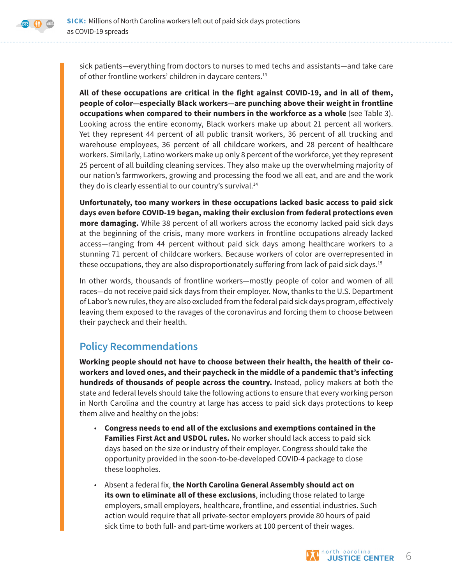sick patients—everything from doctors to nurses to med techs and assistants—and take care of other frontline workers' children in daycare centers.<sup>13</sup>

**All of these occupations are critical in the fight against COVID-19, and in all of them, people of color—especially Black workers—are punching above their weight in frontline occupations when compared to their numbers in the workforce as a whole** (see Table 3). Looking across the entire economy, Black workers make up about 21 percent all workers. Yet they represent 44 percent of all public transit workers, 36 percent of all trucking and warehouse employees, 36 percent of all childcare workers, and 28 percent of healthcare workers. Similarly, Latino workers make up only 8 percent of the workforce, yet they represent 25 percent of all building cleaning services. They also make up the overwhelming majority of our nation's farmworkers, growing and processing the food we all eat, and are and the work they do is clearly essential to our country's survival.<sup>14</sup>

**Unfortunately, too many workers in these occupations lacked basic access to paid sick days even before COVID-19 began, making their exclusion from federal protections even more damaging.** While 38 percent of all workers across the economy lacked paid sick days at the beginning of the crisis, many more workers in frontline occupations already lacked access—ranging from 44 percent without paid sick days among healthcare workers to a stunning 71 percent of childcare workers. Because workers of color are overrepresented in these occupations, they are also disproportionately suffering from lack of paid sick days.<sup>15</sup>

In other words, thousands of frontline workers—mostly people of color and women of all races—do not receive paid sick days from their employer. Now, thanks to the U.S. Department of Labor's new rules, they are also excluded from the federal paid sick days program, effectively leaving them exposed to the ravages of the coronavirus and forcing them to choose between their paycheck and their health.

## **Policy Recommendations**

**Working people should not have to choose between their health, the health of their coworkers and loved ones, and their paycheck in the middle of a pandemic that's infecting hundreds of thousands of people across the country.** Instead, policy makers at both the state and federal levels should take the following actions to ensure that every working person in North Carolina and the country at large has access to paid sick days protections to keep them alive and healthy on the jobs:

- **Congress needs to end all of the exclusions and exemptions contained in the Families First Act and USDOL rules.** No worker should lack access to paid sick days based on the size or industry of their employer. Congress should take the opportunity provided in the soon-to-be-developed COVID-4 package to close these loopholes.
- Absent a federal fix, **the North Carolina General Assembly should act on its own to eliminate all of these exclusions**, including those related to large employers, small employers, healthcare, frontline, and essential industries. Such action would require that all private-sector employers provide 80 hours of paid sick time to both full- and part-time workers at 100 percent of their wages.